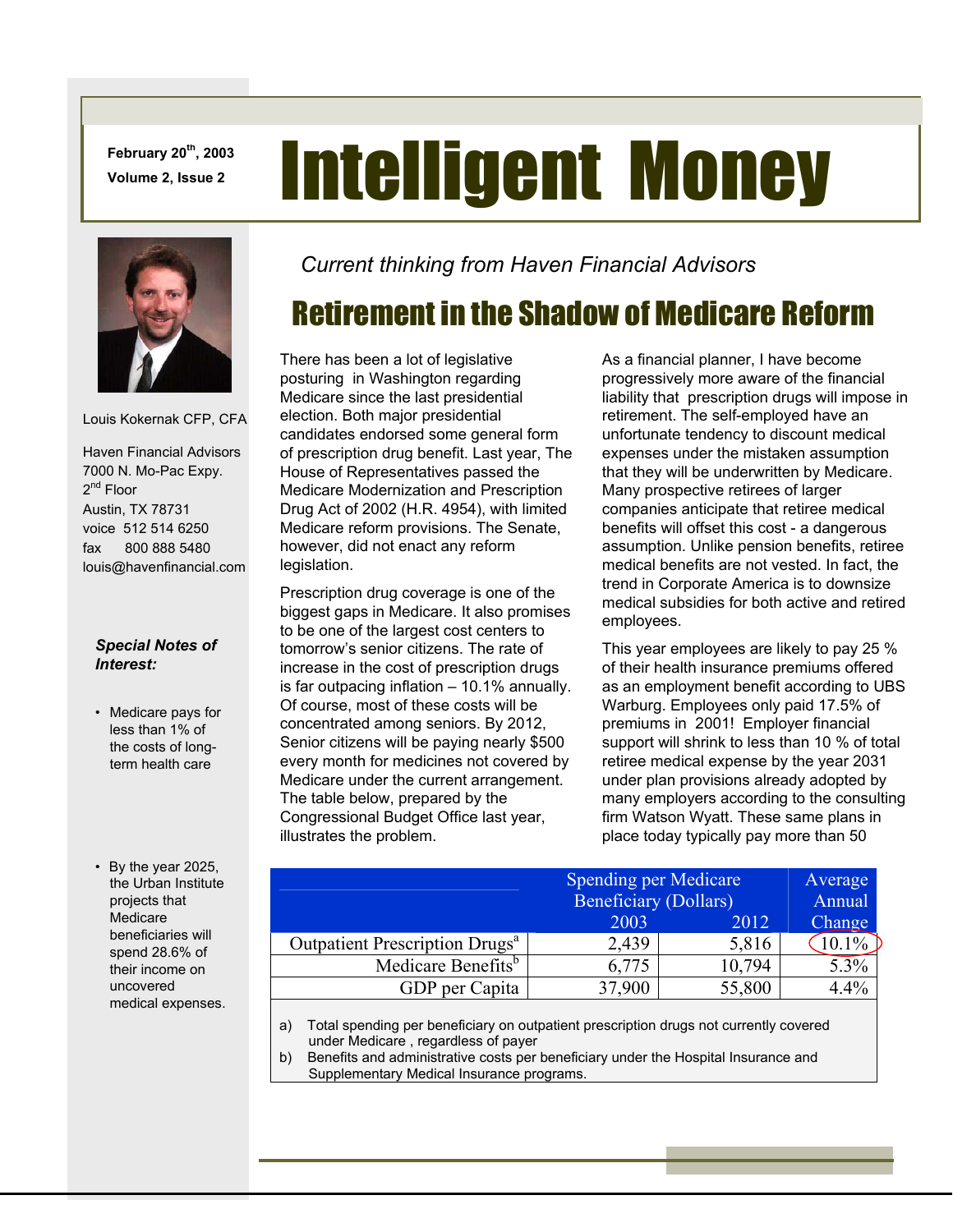**February 20th, 2003** 

# February 20<sup>th</sup>, 2003 **Intelligent Money**



Louis Kokernak CFP, CFA

 Haven Financial Advisors 7000 N. Mo-Pac Expy. 2<sup>nd</sup> Floor Austin, TX 78731 voice 512 514 6250 fax 800 888 5480 louis@havenfinancial.com

#### *Special Notes of Interest:*

- Medicare pays for less than 1% of the costs of longterm health care
- By the year 2025, the Urban Institute projects that Medicare beneficiaries will spend 28.6% of their income on uncovered medical expenses.

*Current thinking from Haven Financial Advisors* 

## Retirement in the Shadow of Medicare Reform

There has been a lot of legislative posturing in Washington regarding Medicare since the last presidential election. Both major presidential candidates endorsed some general form of prescription drug benefit. Last year, The House of Representatives passed the Medicare Modernization and Prescription Drug Act of 2002 (H.R. 4954), with limited Medicare reform provisions. The Senate, however, did not enact any reform legislation.

Prescription drug coverage is one of the biggest gaps in Medicare. It also promises to be one of the largest cost centers to tomorrow's senior citizens. The rate of increase in the cost of prescription drugs is far outpacing inflation – 10.1% annually. Of course, most of these costs will be concentrated among seniors. By 2012, Senior citizens will be paying nearly \$500 every month for medicines not covered by Medicare under the current arrangement. The table below, prepared by the Congressional Budget Office last year, illustrates the problem.

As a financial planner, I have become progressively more aware of the financial liability that prescription drugs will impose in retirement. The self-employed have an unfortunate tendency to discount medical expenses under the mistaken assumption that they will be underwritten by Medicare. Many prospective retirees of larger companies anticipate that retiree medical benefits will offset this cost - a dangerous assumption. Unlike pension benefits, retiree medical benefits are not vested. In fact, the trend in Corporate America is to downsize medical subsidies for both active and retired employees.

This year employees are likely to pay 25 % of their health insurance premiums offered as an employment benefit according to UBS Warburg. Employees only paid 17.5% of premiums in 2001! Employer financial support will shrink to less than 10 % of total retiree medical expense by the year 2031 under plan provisions already adopted by many employers according to the consulting firm Watson Wyatt. These same plans in place today typically pay more than 50

|                                            | <b>Spending per Medicare</b><br><b>Beneficiary (Dollars)</b> |        | Average<br>Annual |
|--------------------------------------------|--------------------------------------------------------------|--------|-------------------|
|                                            | 2003                                                         | 2012   | Change            |
| Outpatient Prescription Drugs <sup>a</sup> | 2,439                                                        | 5,816  |                   |
| Medicare Benefits <sup>b</sup>             | 6,775                                                        | 10,794 | 5.3%              |
| GDP per Capita                             | 37,900                                                       | 55,800 | 4.4%              |

a) Total spending per beneficiary on outpatient prescription drugs not currently covered under Medicare , regardless of payer

b) Benefits and administrative costs per beneficiary under the Hospital Insurance and Supplementary Medical Insurance programs.